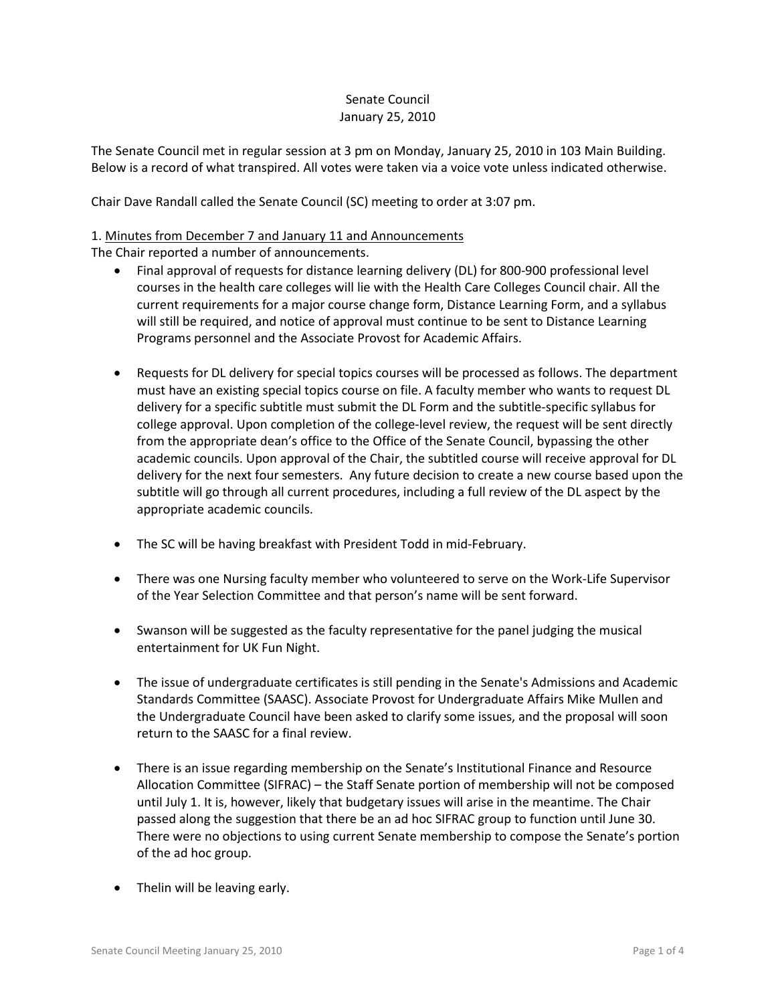# Senate Council January 25, 2010

The Senate Council met in regular session at 3 pm on Monday, January 25, 2010 in 103 Main Building. Below is a record of what transpired. All votes were taken via a voice vote unless indicated otherwise.

Chair Dave Randall called the Senate Council (SC) meeting to order at 3:07 pm.

# 1. Minutes from December 7 and January 11 and Announcements

The Chair reported a number of announcements.

- Final approval of requests for distance learning delivery (DL) for 800-900 professional level courses in the health care colleges will lie with the Health Care Colleges Council chair. All the current requirements for a major course change form, Distance Learning Form, and a syllabus will still be required, and notice of approval must continue to be sent to Distance Learning Programs personnel and the Associate Provost for Academic Affairs.
- Requests for DL delivery for special topics courses will be processed as follows. The department must have an existing special topics course on file. A faculty member who wants to request DL delivery for a specific subtitle must submit the DL Form and the subtitle-specific syllabus for college approval. Upon completion of the college-level review, the request will be sent directly from the appropriate dean's office to the Office of the Senate Council, bypassing the other academic councils. Upon approval of the Chair, the subtitled course will receive approval for DL delivery for the next four semesters. Any future decision to create a new course based upon the subtitle will go through all current procedures, including a full review of the DL aspect by the appropriate academic councils.
- The SC will be having breakfast with President Todd in mid-February.
- There was one Nursing faculty member who volunteered to serve on the Work-Life Supervisor of the Year Selection Committee and that person's name will be sent forward.
- Swanson will be suggested as the faculty representative for the panel judging the musical entertainment for UK Fun Night.
- The issue of undergraduate certificates is still pending in the Senate's Admissions and Academic Standards Committee (SAASC). Associate Provost for Undergraduate Affairs Mike Mullen and the Undergraduate Council have been asked to clarify some issues, and the proposal will soon return to the SAASC for a final review.
- There is an issue regarding membership on the Senate's Institutional Finance and Resource Allocation Committee (SIFRAC) – the Staff Senate portion of membership will not be composed until July 1. It is, however, likely that budgetary issues will arise in the meantime. The Chair passed along the suggestion that there be an ad hoc SIFRAC group to function until June 30. There were no objections to using current Senate membership to compose the Senate's portion of the ad hoc group.
- Thelin will be leaving early.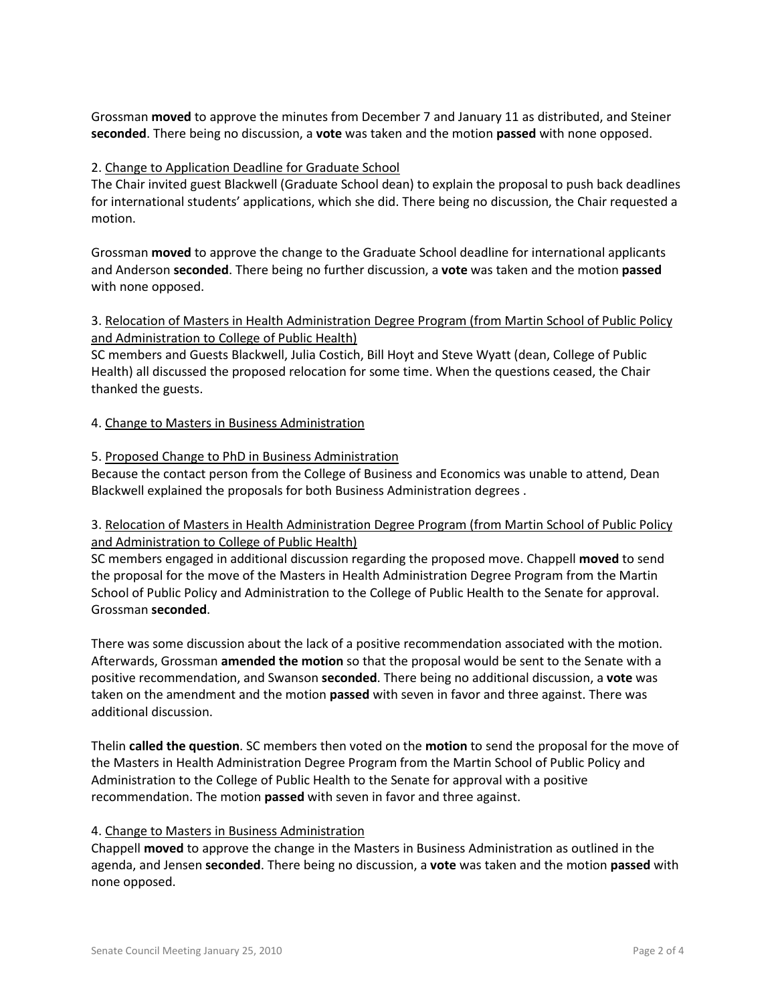Grossman **moved** to approve the minutes from December 7 and January 11 as distributed, and Steiner **seconded**. There being no discussion, a **vote** was taken and the motion **passed** with none opposed.

## 2. Change to Application Deadline for Graduate School

The Chair invited guest Blackwell (Graduate School dean) to explain the proposal to push back deadlines for international students' applications, which she did. There being no discussion, the Chair requested a motion.

Grossman **moved** to approve the change to the Graduate School deadline for international applicants and Anderson **seconded**. There being no further discussion, a **vote** was taken and the motion **passed** with none opposed.

3. Relocation of Masters in Health Administration Degree Program (from Martin School of Public Policy and Administration to College of Public Health)

SC members and Guests Blackwell, Julia Costich, Bill Hoyt and Steve Wyatt (dean, College of Public Health) all discussed the proposed relocation for some time. When the questions ceased, the Chair thanked the guests.

#### 4. Change to Masters in Business Administration

## 5. Proposed Change to PhD in Business Administration

Because the contact person from the College of Business and Economics was unable to attend, Dean Blackwell explained the proposals for both Business Administration degrees .

# 3. Relocation of Masters in Health Administration Degree Program (from Martin School of Public Policy and Administration to College of Public Health)

SC members engaged in additional discussion regarding the proposed move. Chappell **moved** to send the proposal for the move of the Masters in Health Administration Degree Program from the Martin School of Public Policy and Administration to the College of Public Health to the Senate for approval. Grossman **seconded**.

There was some discussion about the lack of a positive recommendation associated with the motion. Afterwards, Grossman **amended the motion** so that the proposal would be sent to the Senate with a positive recommendation, and Swanson **seconded**. There being no additional discussion, a **vote** was taken on the amendment and the motion **passed** with seven in favor and three against. There was additional discussion.

Thelin **called the question**. SC members then voted on the **motion** to send the proposal for the move of the Masters in Health Administration Degree Program from the Martin School of Public Policy and Administration to the College of Public Health to the Senate for approval with a positive recommendation. The motion **passed** with seven in favor and three against.

#### 4. Change to Masters in Business Administration

Chappell **moved** to approve the change in the Masters in Business Administration as outlined in the agenda, and Jensen **seconded**. There being no discussion, a **vote** was taken and the motion **passed** with none opposed.